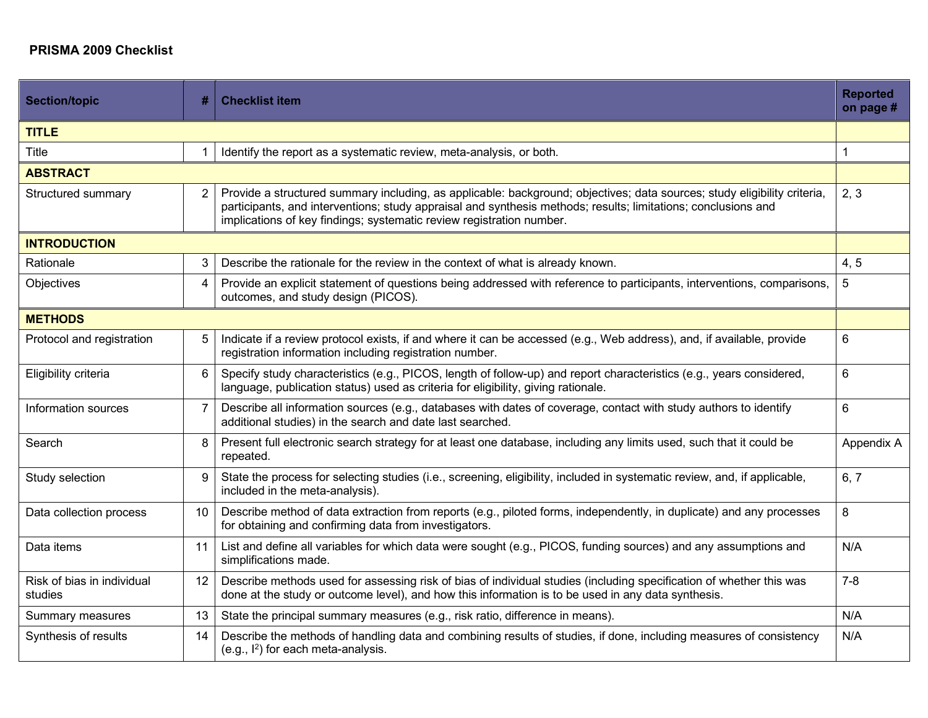## **PRISMA 2009 Checklist**

| <b>Section/topic</b>                  | #              | <b>Checklist item</b>                                                                                                                                                                                                                                                                                             | <b>Reported</b><br>on page # |  |  |
|---------------------------------------|----------------|-------------------------------------------------------------------------------------------------------------------------------------------------------------------------------------------------------------------------------------------------------------------------------------------------------------------|------------------------------|--|--|
| <b>TITLE</b>                          |                |                                                                                                                                                                                                                                                                                                                   |                              |  |  |
| <b>Title</b>                          |                | Identify the report as a systematic review, meta-analysis, or both.                                                                                                                                                                                                                                               | 1                            |  |  |
| <b>ABSTRACT</b>                       |                |                                                                                                                                                                                                                                                                                                                   |                              |  |  |
| Structured summary                    | 2              | Provide a structured summary including, as applicable: background; objectives; data sources; study eligibility criteria,<br>participants, and interventions; study appraisal and synthesis methods; results; limitations; conclusions and<br>implications of key findings; systematic review registration number. | 2, 3                         |  |  |
| <b>INTRODUCTION</b>                   |                |                                                                                                                                                                                                                                                                                                                   |                              |  |  |
| Rationale                             | 3              | Describe the rationale for the review in the context of what is already known.                                                                                                                                                                                                                                    | 4, 5                         |  |  |
| Objectives                            | $\overline{4}$ | Provide an explicit statement of questions being addressed with reference to participants, interventions, comparisons,<br>outcomes, and study design (PICOS).                                                                                                                                                     | 5                            |  |  |
| <b>METHODS</b>                        |                |                                                                                                                                                                                                                                                                                                                   |                              |  |  |
| Protocol and registration             | 5              | Indicate if a review protocol exists, if and where it can be accessed (e.g., Web address), and, if available, provide<br>registration information including registration number.                                                                                                                                  | 6                            |  |  |
| Eligibility criteria                  | 6              | Specify study characteristics (e.g., PICOS, length of follow-up) and report characteristics (e.g., years considered,<br>language, publication status) used as criteria for eligibility, giving rationale.                                                                                                         | 6                            |  |  |
| Information sources                   | 7              | Describe all information sources (e.g., databases with dates of coverage, contact with study authors to identify<br>additional studies) in the search and date last searched.                                                                                                                                     | 6                            |  |  |
| Search                                | 8              | Present full electronic search strategy for at least one database, including any limits used, such that it could be<br>repeated.                                                                                                                                                                                  | Appendix A                   |  |  |
| Study selection                       | 9              | State the process for selecting studies (i.e., screening, eligibility, included in systematic review, and, if applicable,<br>included in the meta-analysis).                                                                                                                                                      | 6, 7                         |  |  |
| Data collection process               | 10             | Describe method of data extraction from reports (e.g., piloted forms, independently, in duplicate) and any processes<br>for obtaining and confirming data from investigators.                                                                                                                                     | 8                            |  |  |
| Data items                            | 11             | List and define all variables for which data were sought (e.g., PICOS, funding sources) and any assumptions and<br>simplifications made.                                                                                                                                                                          | N/A                          |  |  |
| Risk of bias in individual<br>studies | 12             | Describe methods used for assessing risk of bias of individual studies (including specification of whether this was<br>done at the study or outcome level), and how this information is to be used in any data synthesis.                                                                                         | $7 - 8$                      |  |  |
| Summary measures                      | 13             | State the principal summary measures (e.g., risk ratio, difference in means).                                                                                                                                                                                                                                     | N/A                          |  |  |
| Synthesis of results                  | 14             | Describe the methods of handling data and combining results of studies, if done, including measures of consistency<br>(e.g., $I^2$ ) for each meta-analysis.                                                                                                                                                      | N/A                          |  |  |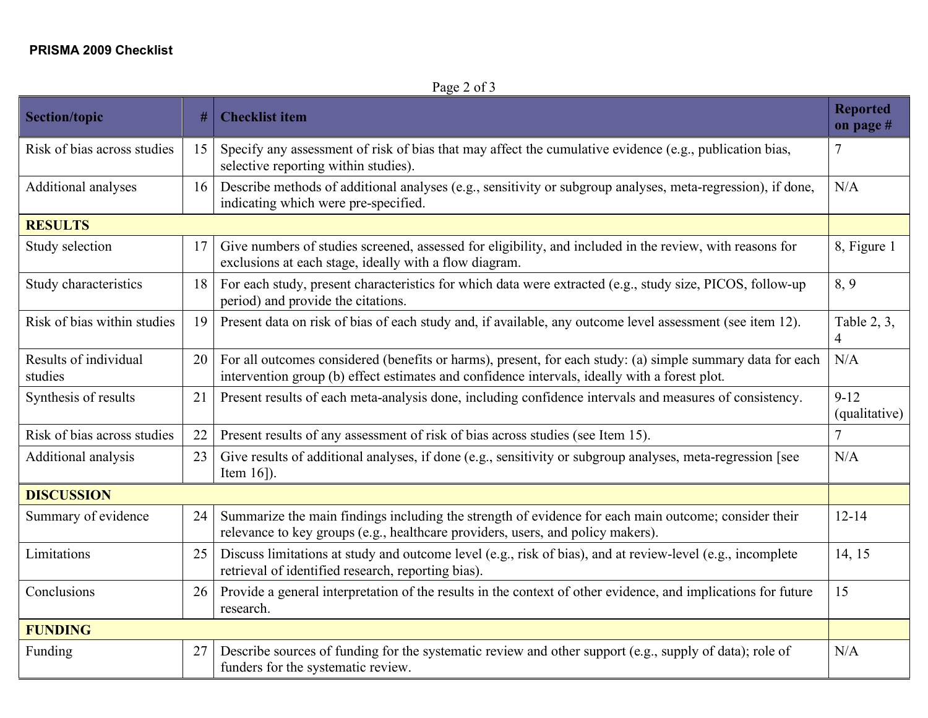Page 2 of 3

| <b>Section/topic</b>             | #  | <b>Checklist item</b>                                                                                                                                                                                       | <b>Reported</b><br>on page # |  |  |
|----------------------------------|----|-------------------------------------------------------------------------------------------------------------------------------------------------------------------------------------------------------------|------------------------------|--|--|
| Risk of bias across studies      | 15 | Specify any assessment of risk of bias that may affect the cumulative evidence (e.g., publication bias,<br>selective reporting within studies).                                                             | 7                            |  |  |
| Additional analyses              | 16 | Describe methods of additional analyses (e.g., sensitivity or subgroup analyses, meta-regression), if done,<br>indicating which were pre-specified.                                                         | N/A                          |  |  |
| <b>RESULTS</b>                   |    |                                                                                                                                                                                                             |                              |  |  |
| Study selection                  | 17 | Give numbers of studies screened, assessed for eligibility, and included in the review, with reasons for<br>exclusions at each stage, ideally with a flow diagram.                                          | 8, Figure 1                  |  |  |
| Study characteristics            | 18 | For each study, present characteristics for which data were extracted (e.g., study size, PICOS, follow-up<br>period) and provide the citations.                                                             | 8,9                          |  |  |
| Risk of bias within studies      | 19 | Present data on risk of bias of each study and, if available, any outcome level assessment (see item 12).                                                                                                   | Table 2, 3,<br>4             |  |  |
| Results of individual<br>studies | 20 | For all outcomes considered (benefits or harms), present, for each study: (a) simple summary data for each<br>intervention group (b) effect estimates and confidence intervals, ideally with a forest plot. | N/A                          |  |  |
| Synthesis of results             | 21 | Present results of each meta-analysis done, including confidence intervals and measures of consistency.                                                                                                     | $9-12$<br>(qualitative)      |  |  |
| Risk of bias across studies      | 22 | Present results of any assessment of risk of bias across studies (see Item 15).                                                                                                                             | $\overline{7}$               |  |  |
| Additional analysis              | 23 | Give results of additional analyses, if done (e.g., sensitivity or subgroup analyses, meta-regression [see<br>Item $16$ ]).                                                                                 | N/A                          |  |  |
| <b>DISCUSSION</b>                |    |                                                                                                                                                                                                             |                              |  |  |
| Summary of evidence              | 24 | Summarize the main findings including the strength of evidence for each main outcome; consider their<br>relevance to key groups (e.g., healthcare providers, users, and policy makers).                     | $12 - 14$                    |  |  |
| Limitations                      | 25 | Discuss limitations at study and outcome level (e.g., risk of bias), and at review-level (e.g., incomplete<br>retrieval of identified research, reporting bias).                                            | 14, 15                       |  |  |
| Conclusions                      | 26 | Provide a general interpretation of the results in the context of other evidence, and implications for future<br>research.                                                                                  | 15                           |  |  |
| <b>FUNDING</b>                   |    |                                                                                                                                                                                                             |                              |  |  |
| Funding                          | 27 | Describe sources of funding for the systematic review and other support (e.g., supply of data); role of<br>funders for the systematic review.                                                               | N/A                          |  |  |